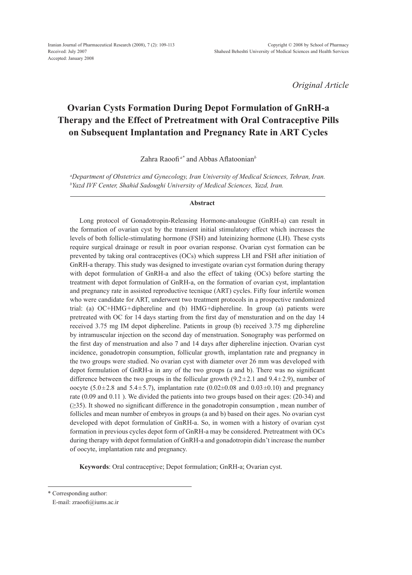*Original Article*

# **Ovarian Cysts Formation During Depot Formulation of GnRH-a Therapy and the Effect of Pretreatment with Oral Contraceptive Pills on Subsequent Implantation and Pregnancy Rate in ART Cycles**

Zahra Raoofi*a\** and Abbas Aflatoonian*<sup>b</sup>*

*a Department of Obstetrics and Gynecology, Iran University of Medical Sciences, Tehran, Iran. b Yazd IVF Center, Shahid Sadoughi University of Medical Sciences, Yazd, Iran.* 

# **Abstract**

Long protocol of Gonadotropin-Releasing Hormone-analougue (GnRH-a) can result in the formation of ovarian cyst by the transient initial stimulatory effect which increases the levels of both follicle-stimulating hormone (FSH) and luteinizing hormone (LH). These cysts require surgical drainage or result in poor ovarian response. Ovarian cyst formation can be prevented by taking oral contraceptives (OCs) which suppress LH and FSH after initiation of GnRH-a therapy. This study was designed to investigate ovarian cyst formation during therapy with depot formulation of GnRH-a and also the effect of taking (OCs) before starting the treatment with depot formulation of GnRH-a, on the formation of ovarian cyst, implantation and pregnancy rate in assisted reproductive tecnique (ART) cycles. Fifty four infertile women who were candidate for ART, underwent two treatment protocols in a prospective randomized trial: (a) OC+HMG+diphereline and (b) HMG+diphereline. In group (a) patients were pretreated with OC for 14 days starting from the first day of mensturation and on the day 14 received 3.75 mg IM depot diphereline. Patients in group (b) received 3.75 mg diphereline by intramuscular injection on the second day of menstruation. Sonography was performed on the first day of menstruation and also 7 and 14 days after diphereline injection. Ovarian cyst incidence, gonadotropin consumption, follicular growth, implantation rate and pregnancy in the two groups were studied. No ovarian cyst with diameter over 26 mm was developed with depot formulation of GnRH-a in any of the two groups (a and b). There was no significant difference between the two groups in the follicular growth  $(9.2\pm 2.1$  and  $(9.4\pm 2.9)$ , number of oocyte (5.0±2.8 and 5.4±5.7), implantation rate (0.02±0.08 and 0.03±0.10) and pregnancy rate (0.09 and 0.11 ). We divided the patients into two groups based on their ages: (20-34) and (≥35). It showed no significant difference in the gonadotropin consumption , mean number of follicles and mean number of embryos in groups (a and b) based on their ages. No ovarian cyst developed with depot formulation of GnRH-a. So, in women with a history of ovarian cyst formation in previous cycles depot form of GnRH-a may be considered. Pretreatment with OCs during therapy with depot formulation of GnRH-a and gonadotropin didn't increase the number of oocyte, implantation rate and pregnancy.

**Keywords**: Oral contraceptive; Depot formulation; GnRH-a; Ovarian cyst.

<sup>\*</sup> Corresponding author:

E-mail: zraoofi@iums.ac.ir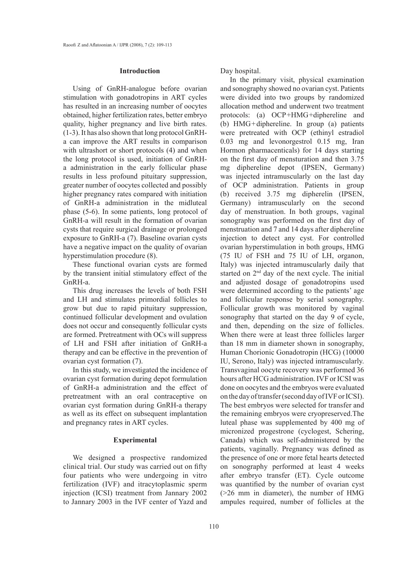## **Introduction**

Using of GnRH-analogue before ovarian stimulation with gonadotropins in ART cycles has resulted in an increasing number of oocytes obtained, higher fertilization rates, better embryo quality, higher pregnancy and live birth rates. (1-3). It has also shown that long protocol GnRHa can improve the ART results in comparison with ultrashort or short protocols (4) and when the long protocol is used, initiation of GnRHa administration in the early follicular phase results in less profound pituitary suppression, greater number of oocytes collected and possibly higher pregnancy rates compared with initiation of GnRH-a administration in the midluteal phase (5-6). In some patients, long protocol of GnRH-a will result in the formation of ovarian cysts that require surgical drainage or prolonged exposure to GnRH-a (7). Baseline ovarian cysts have a negative impact on the quality of ovarian hyperstimulation procedure (8).

These functional ovarian cysts are formed by the transient initial stimulatory effect of the GnRH-a.

This drug increases the levels of both FSH and LH and stimulates primordial follicles to grow but due to rapid pituitary suppression, continued follicular development and ovulation does not occur and consequently follicular cysts are formed. Pretreatment with OCs will suppress of LH and FSH after initiation of GnRH-a therapy and can be effective in the prevention of ovarian cyst formation (7).

In this study, we investigated the incidence of ovarian cyst formation during depot formulation of GnRH-a administration and the effect of pretreatment with an oral contraceptive on ovarian cyst formation during GnRH-a therapy as well as its effect on subsequent implantation and pregnancy rates in ART cycles.

# **Experimental**

We designed a prospective randomized clinical trial. Our study was carried out on fifty four patients who were undergoing in vitro fertilization (IVF) and itracytoplasmic sperm injection (ICSI) treatment from Jannary 2002 to Jannary 2003 in the IVF center of Yazd and Day hospital.

In the primary visit, physical examination and sonography showed no ovarian cyst. Patients were divided into two groups by randomized allocation method and underwent two treatment protocols: (a) OCP+HMG+diphereline and (b) HMG+diphereline. In group (a) patients were pretreated with OCP (ethinyl estradiol 0.03 mg and levonorgestrol 0.15 mg, Iran Hormon pharmacenticals) for 14 days starting on the first day of mensturation and then 3.75 mg diphereline depot (IPSEN, Germany) was injected intramuscularly on the last day of OCP administration. Patients in group (b) received 3.75 mg dipherelin (IPSEN, Germany) intramuscularly on the second day of menstruation. In both groups, vaginal sonography was performed on the first day of menstruation and 7 and 14 days after diphereline injection to detect any cyst. For controlled ovarian hyperstimulation in both groups, HMG (75 IU of FSH and 75 IU of LH, organon, Italy) was injected intramuscularly daily that started on 2nd day of the next cycle. The initial and adjusted dosage of gonadotropins used were determined according to the patients' age and follicular response by serial sonography. Follicular growth was monitored by vaginal sonography that started on the day 9 of cycle, and then, depending on the size of follicles. When there were at least three follicles larger than 18 mm in diameter shown in sonography, Human Chorionic Gonadotropin (HCG) (10000 IU, Serono, Italy) was injected intramuscularly. Transvaginal oocyte recovery was performed 36 hours after HCG administration. IVF or ICSI was done on oocytes and the embryos were evaluated on the day of transfer (second day of IVF or ICSI). The best embryos were selected for transfer and the remaining embryos were cryopreserved.The luteal phase was supplemented by 400 mg of micronized progestrone (cyclogest, Schering, Canada) which was self-administered by the patients, vaginally. Pregnancy was defined as the presence of one or more fetal hearts detected on sonography performed at least 4 weeks after embryo transfer (ET). Cycle outcome was quantified by the number of ovarian cyst (>26 mm in diameter), the number of HMG ampules required, number of follicles at the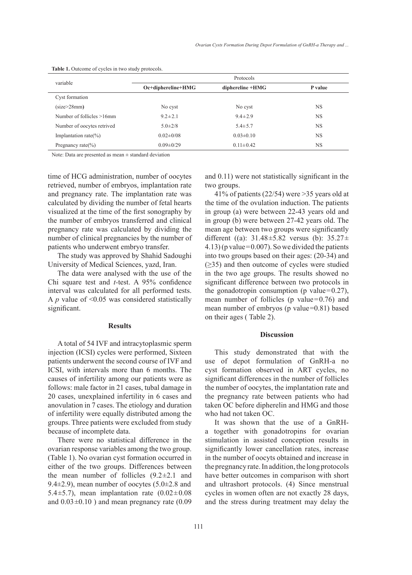|                              | Protocols          |                  |           |  |  |  |
|------------------------------|--------------------|------------------|-----------|--|--|--|
| variable                     | Oc+diphereline+HMG | diphereline +HMG | P value   |  |  |  |
| Cyst formation               |                    |                  |           |  |  |  |
| (size>28mm)                  | No cyst            | No cyst          | NS.       |  |  |  |
| Number of follicles $>16$ mm | $9.2 \pm 2.1$      | $9.4 \pm 2.9$    | <b>NS</b> |  |  |  |
| Number of oocytes retrived   | $5.0 \pm 2/8$      | $5.4 \pm 5.7$    | <b>NS</b> |  |  |  |
| Implantation rate( $\%$ )    | $0.02 \pm 0.08$    | $0.03 \pm 0.10$  | <b>NS</b> |  |  |  |
| Pregnancy rate $(\% )$       | $0.09 \pm 0.29$    | $0.11 \pm 0.42$  | NS.       |  |  |  |

**Table 1.** Outcome of cycles in two study protocols.

Note: Data are presented as mean  $\pm$  standard deviation

time of HCG administration, number of oocytes retrieved, number of embryos, implantation rate and pregnancy rate. The implantation rate was calculated by dividing the number of fetal hearts visualized at the time of the first sonography by the number of embryos transferred and clinical pregnancy rate was calculated by dividing the number of clinical pregnancies by the number of patients who underwent embryo transfer.

The study was approved by Shahid Sadoughi University of Medical Sciences, yazd, Iran.

The data were analysed with the use of the Chi square test and *t-*test. A 95% confidence interval was calculated for all performed tests. A *p* value of <0.05 was considered statistically significant.

# **Results**

A total of 54 IVF and intracytoplasmic sperm injection (ICSI) cycles were performed, Sixteen patients underwent the second course of IVF and ICSI, with intervals more than 6 months. The causes of infertility among our patients were as follows: male factor in 21 cases, tubal damage in 20 cases, unexplained infertility in 6 cases and anovulation in 7 cases. The etiology and duration of infertility were equally distributed among the groups. Three patients were excluded from study because of incomplete data.

There were no statistical difference in the ovarian response variables among the two group. (Table 1). No ovarian cyst formation occurred in either of the two groups. Differences between the mean number of follicles  $(9.2 \pm 2.1)$  and 9.4 $\pm$ 2.9), mean number of oocytes (5.0 $\pm$ 2.8 and 5.4 $\pm$ 5.7), mean implantation rate  $(0.02 \pm 0.08$ and  $0.03\pm0.10$  ) and mean pregnancy rate  $(0.09)$  and 0.11) were not statistically significant in the two groups.

41% of patients (22/54) were >35 years old at the time of the ovulation induction. The patients in group (a) were between 22-43 years old and in group (b) were between 27-42 years old. The mean age between two groups were significantly different ((a):  $31.48 \pm 5.82$  versus (b):  $35.27 \pm$  $(4.13)$  (p value=0.007). So we divided the patients into two groups based on their ages: (20-34) and  $(\geq 35)$  and then outcome of cycles were studied in the two age groups. The results showed no significant difference between two protocols in the gonadotropin consumption (p value= $0.27$ ), mean number of follicles ( $p$  value=0.76) and mean number of embryos (p value=0.81) based on their ages ( Table 2).

## **Discussion**

This study demonstrated that with the use of depot formulation of GnRH-a no cyst formation observed in ART cycles, no significant differences in the number of follicles the number of oocytes, the implantation rate and the pregnancy rate between patients who had taken OC before dipherelin and HMG and those who had not taken OC.

It was shown that the use of a GnRHa together with gonadotropins for ovarian stimulation in assisted conception results in significantly lower cancellation rates, increase in the number of oocyts obtained and increase in the pregnancy rate. In addition, the long protocols have better outcomes in comparison with short and ultrashort protocols. (4) Since menstrual cycles in women often are not exactly 28 days, and the stress during treatment may delay the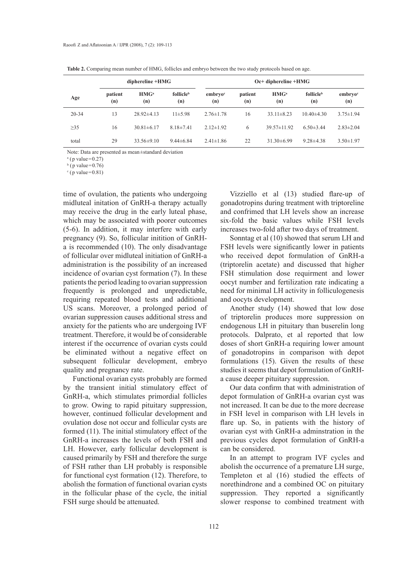|           | $diphereline + HMG$ |                         |                  | Oc+ diphereline +HMG       |                |                         |                  |                            |
|-----------|---------------------|-------------------------|------------------|----------------------------|----------------|-------------------------|------------------|----------------------------|
| Age       | patient<br>(n)      | HMG <sup>a</sup><br>(n) | follicleb<br>(n) | embryo <sup>c</sup><br>(n) | patient<br>(n) | HMG <sup>a</sup><br>(n) | follicleb<br>(n) | embryo <sup>c</sup><br>(n) |
| $20 - 34$ | 13                  | $28.92\pm4.13$          | $11\pm 5.98$     | $2.76 \pm 1.78$            | 16             | $33.11 \pm 8.23$        | $10.40\pm4.30$   | $3.75 \pm 1.94$            |
| $\geq$ 35 | 16                  | $30.81 \pm 6.17$        | $8.18 \pm 7.41$  | $2.12 \pm 1.92$            | 6              | $39.57 \pm 11.92$       | $6.50\pm3.44$    | $2.83 \pm 2.04$            |
| total     | 29                  | $33.56\pm9.10$          | $9.44\pm 6.84$   | $2.41 \pm 1.86$            | 22             | $31.30\pm 6.99$         | $9.28 + 4.38$    | $3.50 \pm 1.97$            |

**Table 2.** Comparing mean number of HMG, follicles and embryo between the two study protocols based on age.

Note: Data are presented as mean±standard deviation

 $\alpha$  (p value=0.27)

 $\mathrm{^{b}}$  (p value=0.76)

 $\degree$  (p value=0.81)

time of ovulation, the patients who undergoing midluteal initation of GnRH-a therapy actually may receive the drug in the early luteal phase, which may be associated with poorer outcomes (5-6). In addition, it may interfere with early pregnancy (9). So, follicular initition of GnRHa is recommended (10). The only disadvantage of follicular over midluteal initiation of GnRH-a administration is the possibility of an increased incidence of ovarian cyst formation (7). In these patients the period leading to ovarian suppression frequently is prolonged and unpredictable, requiring repeated blood tests and additional US scans. Moreover, a prolonged period of ovarian suppression causes additional stress and anxiety for the patients who are undergoing IVF treatment. Therefore, it would be of considerable interest if the occurrence of ovarian cysts could be eliminated without a negative effect on subsequent follicular development, embryo quality and pregnancy rate.

Functional ovarian cysts probably are formed by the transient initial stimulatory effect of GnRH-a, which stimulates primordial follicles to grow. Owing to rapid pituitary suppression, however, continued follicular development and ovulation dose not occur and follicular cysts are formed (11). The initial stimulatory effect of the GnRH-a increases the levels of both FSH and LH. However, early follicular development is caused primarily by FSH and therefore the surge of FSH rather than LH probably is responsible for functional cyst formation (12). Therefore, to abolish the formation of functional ovarian cysts in the follicular phase of the cycle, the initial FSH surge should be attenuated.

Vizziello et al (13) studied flare-up of gonadotropins during treatment with triptoreline and confrimed that LH levels show an increase six-fold the basic values while FSH levels increases two-fold after two days of treatment.

Sonntag et al (10) showed that serum LH and FSH levels were significantly lower in patients who received depot formulation of GnRH-a (triptorelin acetate) and discussed that higher FSH stimulation dose requirment and lower oocyt number and fertilization rate indicating a need for minimal LH activity in folliculogenesis and oocyts development.

Another study (14) showed that low dose of triptorelin produces more suppression on endogenous LH in pituitary than buserelin long protocols. Dalprato, et al reported that low doses of short GnRH-a requiring lower amount of gonadotropins in comparison with depot formulations (15). Given the results of these studies it seems that depot formulation of GnRHa cause deeper pituitary suppression.

Our data confirm that with administration of depot formulation of GnRH-a ovarian cyst was not increased. It can be due to the more decrease in FSH level in comparison with LH levels in flare up. So, in patients with the history of ovarian cyst with GnRH-a adminstration in the previous cycles depot formulation of GnRH-a can be considered.

In an attempt to program IVF cycles and abolish the occurrence of a premature LH surge, Templeton et al (16) studied the effects of norethindrone and a combined OC on pituitary suppression. They reported a significantly slower response to combined treatment with